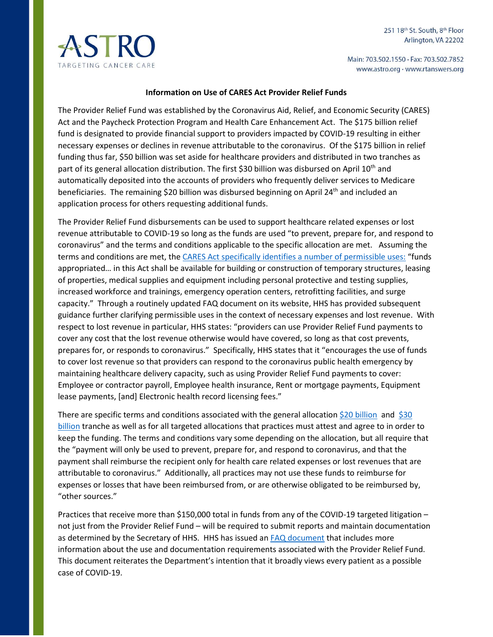Main: 703.502.1550 · Fax: 703.502.7852 www.astro.org · www.rtanswers.org



## **Information on Use of CARES Act Provider Relief Funds**

The Provider Relief Fund was established by the Coronavirus Aid, Relief, and Economic Security (CARES) Act and the Paycheck Protection Program and Health Care Enhancement Act. The \$175 billion relief fund is designated to provide financial support to providers impacted by COVID-19 resulting in either necessary expenses or declines in revenue attributable to the coronavirus. Of the \$175 billion in relief funding thus far, \$50 billion was set aside for healthcare providers and distributed in two tranches as part of its general allocation distribution. The first \$30 billion was disbursed on April 10<sup>th</sup> and automatically deposited into the accounts of providers who frequently deliver services to Medicare beneficiaries. The remaining \$20 billion was disbursed beginning on April 24<sup>th</sup> and included an application process for others requesting additional funds.

The Provider Relief Fund disbursements can be used to support healthcare related expenses or lost revenue attributable to COVID-19 so long as the funds are used "to prevent, prepare for, and respond to coronavirus" and the terms and conditions applicable to the specific allocation are met. Assuming the terms and conditions are met, th[e CARES Act](https://www.congress.gov/116/bills/hr748/BILLS-116hr748enr.pdf) specifically identifies a number of permissible uses: "funds appropriated… in this Act shall be available for building or construction of temporary structures, leasing of properties, medical supplies and equipment including personal protective and testing supplies, increased workforce and trainings, emergency operation centers, retrofitting facilities, and surge capacity." Through a routinely updated FAQ document on its website, HHS has provided subsequent guidance further clarifying permissible uses in the context of necessary expenses and lost revenue. With respect to lost revenue in particular, HHS states: "providers can use Provider Relief Fund payments to cover any cost that the lost revenue otherwise would have covered, so long as that cost prevents, prepares for, or responds to coronavirus." Specifically, HHS states that it "encourages the use of funds to cover lost revenue so that providers can respond to the coronavirus public health emergency by maintaining healthcare delivery capacity, such as using Provider Relief Fund payments to cover: Employee or contractor payroll, Employee health insurance, Rent or mortgage payments, Equipment lease payments, [and] Electronic health record licensing fees."

There are specific terms and conditions associated with the general allocation [\\$20 billion](https://www.hhs.gov/sites/default/files/terms-and-conditions-provider-relief-20-b.pdf) and \$30 [billion](https://www.hhs.gov/sites/default/files/terms-and-conditions-provider-relief-30-b.pdf) tranche as well as for all targeted allocations that practices must attest and agree to in order to keep the funding. The terms and conditions vary some depending on the allocation, but all require that the "payment will only be used to prevent, prepare for, and respond to coronavirus, and that the payment shall reimburse the recipient only for health care related expenses or lost revenues that are attributable to coronavirus." Additionally, all practices may not use these funds to reimburse for expenses or losses that have been reimbursed from, or are otherwise obligated to be reimbursed by, "other sources."

Practices that receive more than \$150,000 total in funds from any of the COVID-19 targeted litigation – not just from the Provider Relief Fund – will be required to submit reports and maintain documentation as determined by the Secretary of HHS. HHS has issued an [FAQ document](https://www.hhs.gov/sites/default/files/provider-relief-fund-general-distribution-faqs.pdf) that includes more information about the use and documentation requirements associated with the Provider Relief Fund. This document reiterates the Department's intention that it broadly views every patient as a possible case of COVID-19.